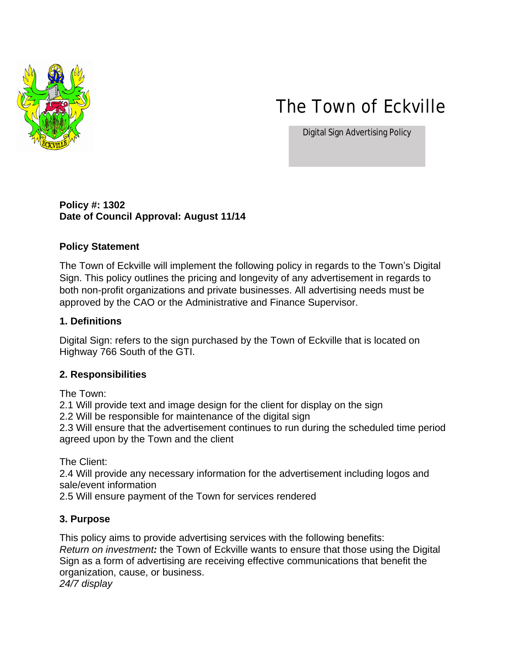

# The Town of Eckville

Digital Sign Advertising Policy

#### **Policy #: 1302 Date of Council Approval: August 11/14**

#### **Policy Statement**

The Town of Eckville will implement the following policy in regards to the Town's Digital Sign. This policy outlines the pricing and longevity of any advertisement in regards to both non-profit organizations and private businesses. All advertising needs must be approved by the CAO or the Administrative and Finance Supervisor.

#### **1. Definitions**

Digital Sign: refers to the sign purchased by the Town of Eckville that is located on Highway 766 South of the GTI.

## **2. Responsibilities**

The Town:

2.1 Will provide text and image design for the client for display on the sign

2.2 Will be responsible for maintenance of the digital sign

2.3 Will ensure that the advertisement continues to run during the scheduled time period agreed upon by the Town and the client

The Client:

2.4 Will provide any necessary information for the advertisement including logos and sale/event information

2.5 Will ensure payment of the Town for services rendered

## **3. Purpose**

This policy aims to provide advertising services with the following benefits: *Return on investment:* the Town of Eckville wants to ensure that those using the Digital Sign as a form of advertising are receiving effective communications that benefit the organization, cause, or business. *24/7 display*